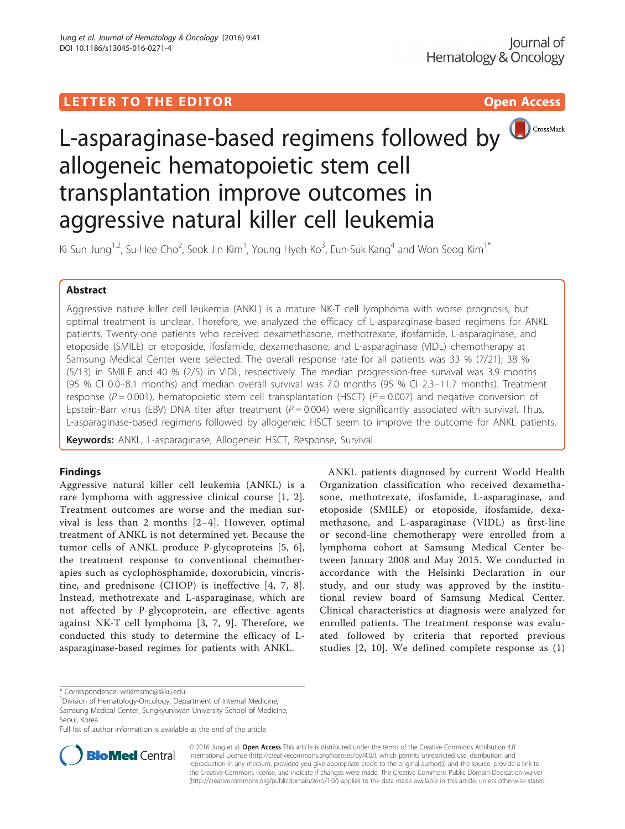# LETTER TO THE EDITOR **CONSIDERING A CONSIDERATION**



Ki Sun Jung<sup>1,2</sup>, Su-Hee Cho<sup>2</sup>, Seok Jin Kim<sup>1</sup>, Young Hyeh Ko<sup>3</sup>, Eun-Suk Kang<sup>4</sup> and Won Seog Kim<sup>1\*</sup>

## Abstract

Aggressive nature killer cell leukemia (ANKL) is a mature NK-T cell lymphoma with worse prognosis, but optimal treatment is unclear. Therefore, we analyzed the efficacy of L-asparaginase-based regimens for ANKL patients. Twenty-one patients who received dexamethasone, methotrexate, ifosfamide, L-asparaginase, and etoposide (SMILE) or etoposide, ifosfamide, dexamethasone, and L-asparaginase (VIDL) chemotherapy at Samsung Medical Center were selected. The overall response rate for all patients was 33 % (7/21); 38 % (5/13) in SMILE and 40 % (2/5) in VIDL, respectively. The median progression-free survival was 3.9 months (95 % CI 0.0–8.1 months) and median overall survival was 7.0 months (95 % CI 2.3–11.7 months). Treatment response ( $P = 0.001$ ), hematopoietic stem cell transplantation (HSCT) ( $P = 0.007$ ) and negative conversion of Epstein-Barr virus (EBV) DNA titer after treatment ( $P = 0.004$ ) were significantly associated with survival. Thus, L-asparaginase-based regimens followed by allogeneic HSCT seem to improve the outcome for ANKL patients.

Keywords: ANKL, L-asparaginase, Allogeneic HSCT, Response, Survival

## Findings

Aggressive natural killer cell leukemia (ANKL) is a rare lymphoma with aggressive clinical course [[1](#page-3-0), [2](#page-3-0)]. Treatment outcomes are worse and the median survival is less than 2 months [[2](#page-3-0)–[4](#page-3-0)]. However, optimal treatment of ANKL is not determined yet. Because the tumor cells of ANKL produce P-glycoproteins [[5](#page-3-0), [6](#page-3-0)], the treatment response to conventional chemotherapies such as cyclophosphamide, doxorubicin, vincristine, and prednisone (CHOP) is ineffective [\[4, 7, 8](#page-3-0)]. Instead, methotrexate and L-asparaginase, which are not affected by P-glycoprotein, are effective agents against NK-T cell lymphoma [[3, 7, 9](#page-3-0)]. Therefore, we conducted this study to determine the efficacy of Lasparaginase-based regimes for patients with ANKL.

ANKL patients diagnosed by current World Health Organization classification who received dexamethasone, methotrexate, ifosfamide, L-asparaginase, and etoposide (SMILE) or etoposide, ifosfamide, dexamethasone, and L-asparaginase (VIDL) as first-line or second-line chemotherapy were enrolled from a lymphoma cohort at Samsung Medical Center between January 2008 and May 2015. We conducted in accordance with the Helsinki Declaration in our study, and our study was approved by the institutional review board of Samsung Medical Center. Clinical characteristics at diagnosis were analyzed for enrolled patients. The treatment response was evaluated followed by criteria that reported previous studies [[2](#page-3-0), [10](#page-3-0)]. We defined complete response as (1)

<sup>1</sup> Division of Hematology-Oncology, Department of Internal Medicine, Samsung Medical Center, Sungkyunkwan University School of Medicine, Seoul, Korea

Full list of author information is available at the end of the article



© 2016 Jung et al. Open Access This article is distributed under the terms of the Creative Commons Attribution 4.0 International License [\(http://creativecommons.org/licenses/by/4.0/](http://creativecommons.org/licenses/by/4.0/)), which permits unrestricted use, distribution, and reproduction in any medium, provided you give appropriate credit to the original author(s) and the source, provide a link to the Creative Commons license, and indicate if changes were made. The Creative Commons Public Domain Dedication waiver [\(http://creativecommons.org/publicdomain/zero/1.0/](http://creativecommons.org/publicdomain/zero/1.0/)) applies to the data made available in this article, unless otherwise stated.

<sup>\*</sup> Correspondence: [wskimsmc@skku.edu](mailto:wskimsmc@skku.edu) <sup>1</sup>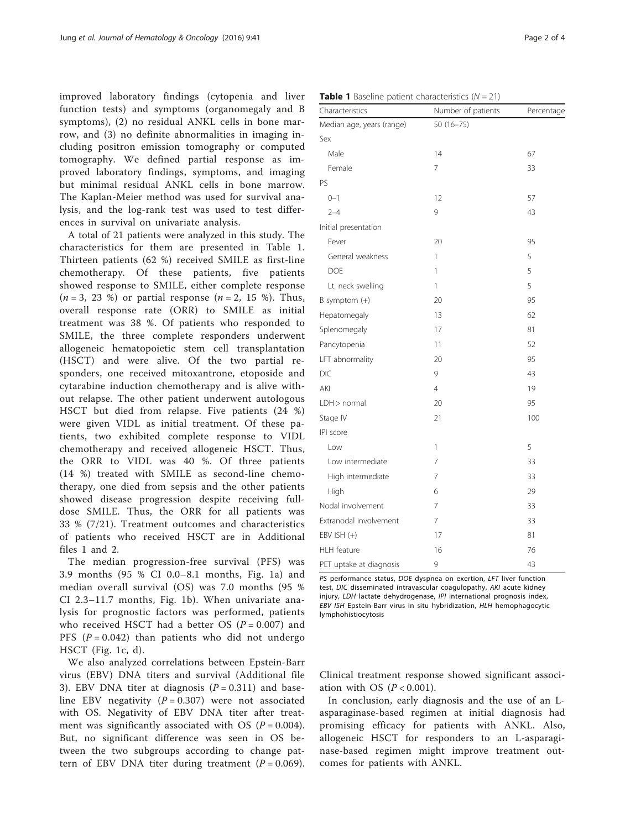improved laboratory findings (cytopenia and liver function tests) and symptoms (organomegaly and B symptoms), (2) no residual ANKL cells in bone marrow, and (3) no definite abnormalities in imaging including positron emission tomography or computed tomography. We defined partial response as improved laboratory findings, symptoms, and imaging but minimal residual ANKL cells in bone marrow. The Kaplan-Meier method was used for survival analysis, and the log-rank test was used to test differences in survival on univariate analysis.

A total of 21 patients were analyzed in this study. The characteristics for them are presented in Table 1. Thirteen patients (62 %) received SMILE as first-line chemotherapy. Of these patients, five patients showed response to SMILE, either complete response  $(n = 3, 23 \%)$  or partial response  $(n = 2, 15 \%)$ . Thus, overall response rate (ORR) to SMILE as initial treatment was 38 %. Of patients who responded to SMILE, the three complete responders underwent allogeneic hematopoietic stem cell transplantation (HSCT) and were alive. Of the two partial responders, one received mitoxantrone, etoposide and cytarabine induction chemotherapy and is alive without relapse. The other patient underwent autologous HSCT but died from relapse. Five patients (24 %) were given VIDL as initial treatment. Of these patients, two exhibited complete response to VIDL chemotherapy and received allogeneic HSCT. Thus, the ORR to VIDL was 40 %. Of three patients (14 %) treated with SMILE as second-line chemotherapy, one died from sepsis and the other patients showed disease progression despite receiving fulldose SMILE. Thus, the ORR for all patients was 33 % (7/21). Treatment outcomes and characteristics of patients who received HSCT are in Additional files [1](#page-2-0) and [2](#page-2-0).

The median progression-free survival (PFS) was 3.9 months (95 % CI 0.0–8.1 months, Fig. [1a](#page-2-0)) and median overall survival (OS) was 7.0 months (95 % CI 2.3–11.7 months, Fig. [1b](#page-2-0)). When univariate analysis for prognostic factors was performed, patients who received HSCT had a better OS  $(P = 0.007)$  and PFS  $(P = 0.042)$  than patients who did not undergo HSCT (Fig. [1c, d](#page-2-0)).

We also analyzed correlations between Epstein-Barr virus (EBV) DNA titers and survival (Additional file [3\)](#page-2-0). EBV DNA titer at diagnosis  $(P = 0.311)$  and baseline EBV negativity  $(P = 0.307)$  were not associated with OS. Negativity of EBV DNA titer after treatment was significantly associated with OS  $(P = 0.004)$ . But, no significant difference was seen in OS between the two subgroups according to change pattern of EBV DNA titer during treatment  $(P = 0.069)$ .

| Characteristics           | Number of patients | Percentage |
|---------------------------|--------------------|------------|
| Median age, years (range) | $50(16 - 75)$      |            |
| Sex                       |                    |            |
| Male                      | 14                 | 67         |
| Female                    | 7                  | 33         |
| PS                        |                    |            |
| $0 - 1$                   | 12                 | 57         |
| $2 - 4$                   | 9                  | 43         |
| Initial presentation      |                    |            |
| Fever                     | 20                 | 95         |
| General weakness          | 1                  | 5          |
| <b>DOE</b>                | 1                  | 5          |
| Lt. neck swelling         | 1                  | 5          |
| $B$ symptom $(+)$         | 20                 | 95         |
| Hepatomegaly              | 13                 | 62         |
| Splenomegaly              | 17                 | 81         |
| Pancytopenia              | 11                 | 52         |
| LFT abnormality           | 20                 | 95         |
| DIC                       | 9                  | 43         |
| AKI                       | $\overline{4}$     | 19         |
| LDH > normal              | 20                 | 95         |
| Stage IV                  | 21                 | 100        |
| IPI score                 |                    |            |
| Low                       | 1                  | 5          |
| Low intermediate          | 7                  | 33         |
| High intermediate         | 7                  | 33         |
| High                      | 6                  | 29         |
| Nodal involvement         | 7                  | 33         |
| Extranodal involvement    | 7                  | 33         |
| EBV ISH (+)               | 17                 | 81         |
| <b>HLH</b> feature        | 16                 | 76         |
| PET uptake at diagnosis   | 9                  | 43         |

PS performance status, DOE dyspnea on exertion, LFT liver function test, DIC disseminated intravascular coagulopathy, AKI acute kidney injury, LDH lactate dehydrogenase, IPI international prognosis index, EBV ISH Epstein-Barr virus in situ hybridization, HLH hemophagocytic lymphohistiocytosis

Clinical treatment response showed significant association with OS  $(P < 0.001)$ .

In conclusion, early diagnosis and the use of an Lasparaginase-based regimen at initial diagnosis had promising efficacy for patients with ANKL. Also, allogeneic HSCT for responders to an L-asparaginase-based regimen might improve treatment outcomes for patients with ANKL.

**Table 1** Baseline patient characteristics  $(N = 21)$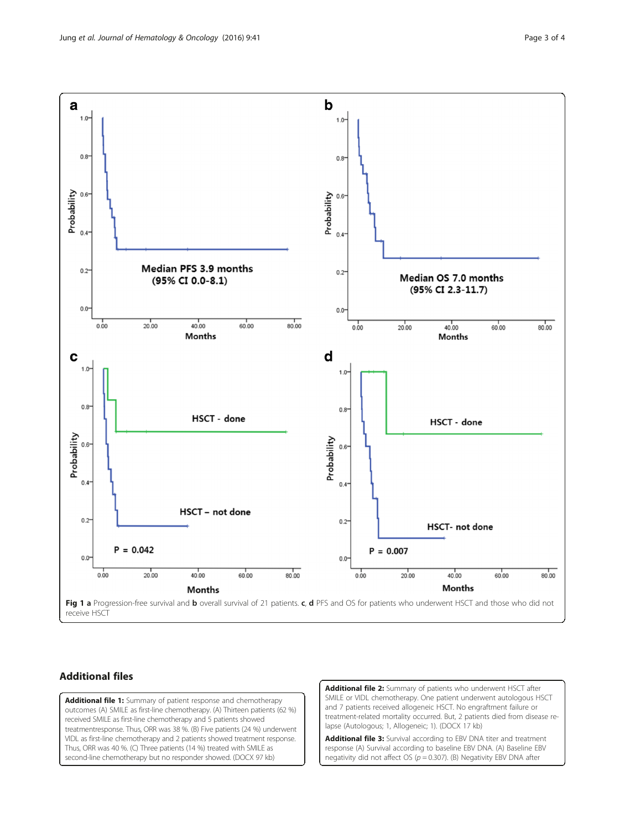<span id="page-2-0"></span>

## Additional files

[Additional file 1:](dx.doi.org/10.1186/s13045-016-0271-4) Summary of patient response and chemotherapy outcomes (A) SMILE as first-line chemotherapy. (A) Thirteen patients (62 %) received SMILE as first-line chemotherapy and 5 patients showed treatmentresponse. Thus, ORR was 38 %. (B) Five patients (24 %) underwent VIDL as first-line chemotherapy and 2 patients showed treatment response. Thus, ORR was 40 %. (C) Three patients (14 %) treated with SMILE as second-line chemotherapy but no responder showed. (DOCX 97 kb)

[Additional file 2:](dx.doi.org/10.1186/s13045-016-0271-4) Summary of patients who underwent HSCT after SMILE or VIDL chemotherapy. One patient underwent autologous HSCT and 7 patients received allogeneic HSCT. No engraftment failure or treatment-related mortality occurred. But, 2 patients died from disease relapse (Autologous; 1, Allogeneic; 1). (DOCX 17 kb)

[Additional file 3:](dx.doi.org/10.1186/s13045-016-0271-4) Survival according to EBV DNA titer and treatment response (A) Survival according to baseline EBV DNA. (A) Baseline EBV negativity did not affect OS ( $p = 0.307$ ). (B) Negativity EBV DNA after